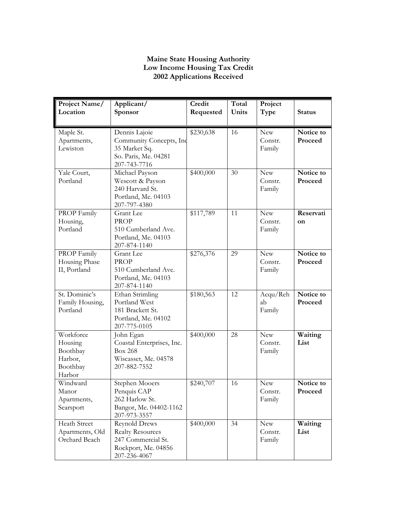## **Maine State Housing Authority Low Income Housing Tax Credit 2002 Applications Received**

| Project Name/<br>Location                                         | Applicant/<br>Sponsor                                                                                        | Credit<br>Requested | Total<br>Units | Project<br>Type                 | <b>Status</b>        |
|-------------------------------------------------------------------|--------------------------------------------------------------------------------------------------------------|---------------------|----------------|---------------------------------|----------------------|
| Maple St.<br>Apartments,<br>Lewiston                              | Dennis Lajoie<br>Community Concepts, Inc<br>35 Market Sq.<br>So. Paris, Me. 04281<br>207-743-7716            | \$230,638           | 16             | <b>New</b><br>Constr.<br>Family | Notice to<br>Proceed |
| Yale Court,<br>Portland                                           | Michael Payson<br>Wescott & Payson<br>240 Harvard St.<br>Portland, Me. 04103<br>207-797-4380                 | \$400,000           | 30             | <b>New</b><br>Constr.<br>Family | Notice to<br>Proceed |
| PROP Family<br>Housing,<br>Portland                               | Grant Lee<br><b>PROP</b><br>510 Cumberland Ave.<br>Portland, Me. 04103<br>207-874-1140                       | \$117,789           | 11             | <b>New</b><br>Constr.<br>Family | Reservati<br>on      |
| PROP Family<br>Housing Phase<br>II, Portland                      | Grant Lee<br><b>PROP</b><br>510 Cumberland Ave.<br>Portland, Me. 04103<br>207-874-1140                       | \$276,376           | 29             | <b>New</b><br>Constr.<br>Family | Notice to<br>Proceed |
| St. Dominic's<br>Family Housing,<br>Portland                      | Ethan Strimling<br>Portland West<br>181 Brackett St.<br>Portland, Me. 04102<br>207-775-0105                  | \$180,563           | 12             | Acqu/Reh<br>ab<br>Family        | Notice to<br>Proceed |
| Workforce<br>Housing<br>Boothbay<br>Harbor,<br>Boothbay<br>Harbor | John Egan<br>Coastal Enterprises, Inc.<br><b>Box 268</b><br>Wiscasset, Me. 04578<br>207-882-7552             | \$400,000           | 28             | <b>New</b><br>Constr.<br>Family | Waiting<br>List      |
| Windward<br>Manor<br>Apartments,<br>Searsport                     | Stephen Mooers<br>Penquis CAP<br>262 Harlow St.<br>Bangor, Me. 04402-1162<br>207-973-3557                    | \$240,707           | 16             | <b>New</b><br>Constr.<br>Family | Notice to<br>Proceed |
| <b>Heath Street</b><br>Apartments, Old<br>Orchard Beach           | <b>Reynold Drews</b><br><b>Realty Resources</b><br>247 Commercial St.<br>Rockport, Me. 04856<br>207-236-4067 | \$400,000           | 34             | New<br>Constr.<br>Family        | Waiting<br>List      |